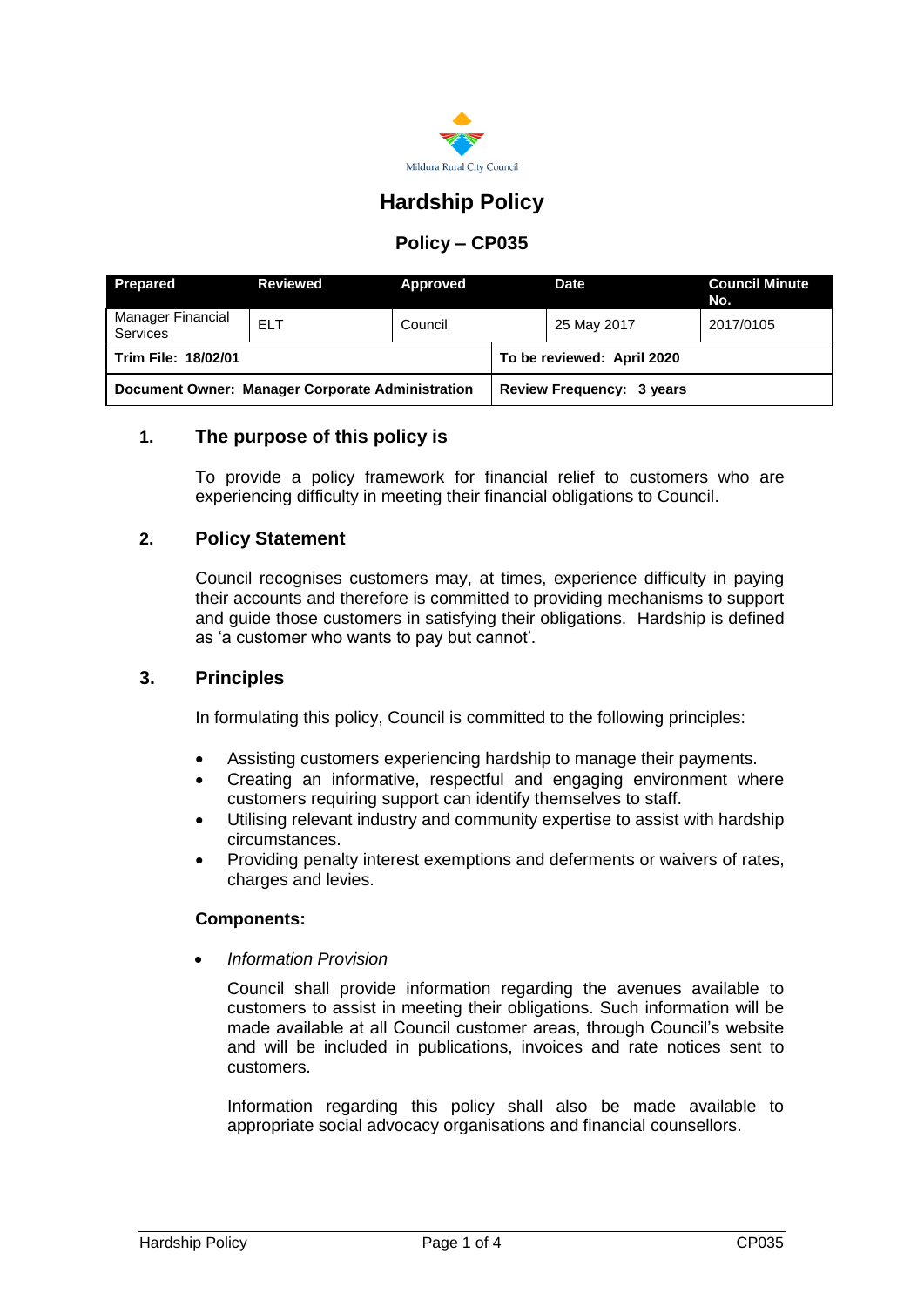

# **Hardship Policy**

## **Policy – CP035**

| <b>Prepared</b>                                  | Reviewed   | Approved |                            | <b>Date</b> | <b>Council Minute</b><br>No. |
|--------------------------------------------------|------------|----------|----------------------------|-------------|------------------------------|
| Manager Financial<br><b>Services</b>             | <b>ELT</b> | Council  |                            | 25 May 2017 | 2017/0105                    |
| <b>Trim File: 18/02/01</b>                       |            |          | To be reviewed: April 2020 |             |                              |
| Document Owner: Manager Corporate Administration |            |          | Review Frequency: 3 years  |             |                              |

## **1. The purpose of this policy is**

To provide a policy framework for financial relief to customers who are experiencing difficulty in meeting their financial obligations to Council.

### **2. Policy Statement**

Council recognises customers may, at times, experience difficulty in paying their accounts and therefore is committed to providing mechanisms to support and guide those customers in satisfying their obligations. Hardship is defined as 'a customer who wants to pay but cannot'.

## **3. Principles**

In formulating this policy, Council is committed to the following principles:

- Assisting customers experiencing hardship to manage their payments.
- Creating an informative, respectful and engaging environment where customers requiring support can identify themselves to staff.
- Utilising relevant industry and community expertise to assist with hardship circumstances.
- Providing penalty interest exemptions and deferments or waivers of rates, charges and levies.

#### **Components:**

*Information Provision*

Council shall provide information regarding the avenues available to customers to assist in meeting their obligations. Such information will be made available at all Council customer areas, through Council's website and will be included in publications, invoices and rate notices sent to customers.

Information regarding this policy shall also be made available to appropriate social advocacy organisations and financial counsellors.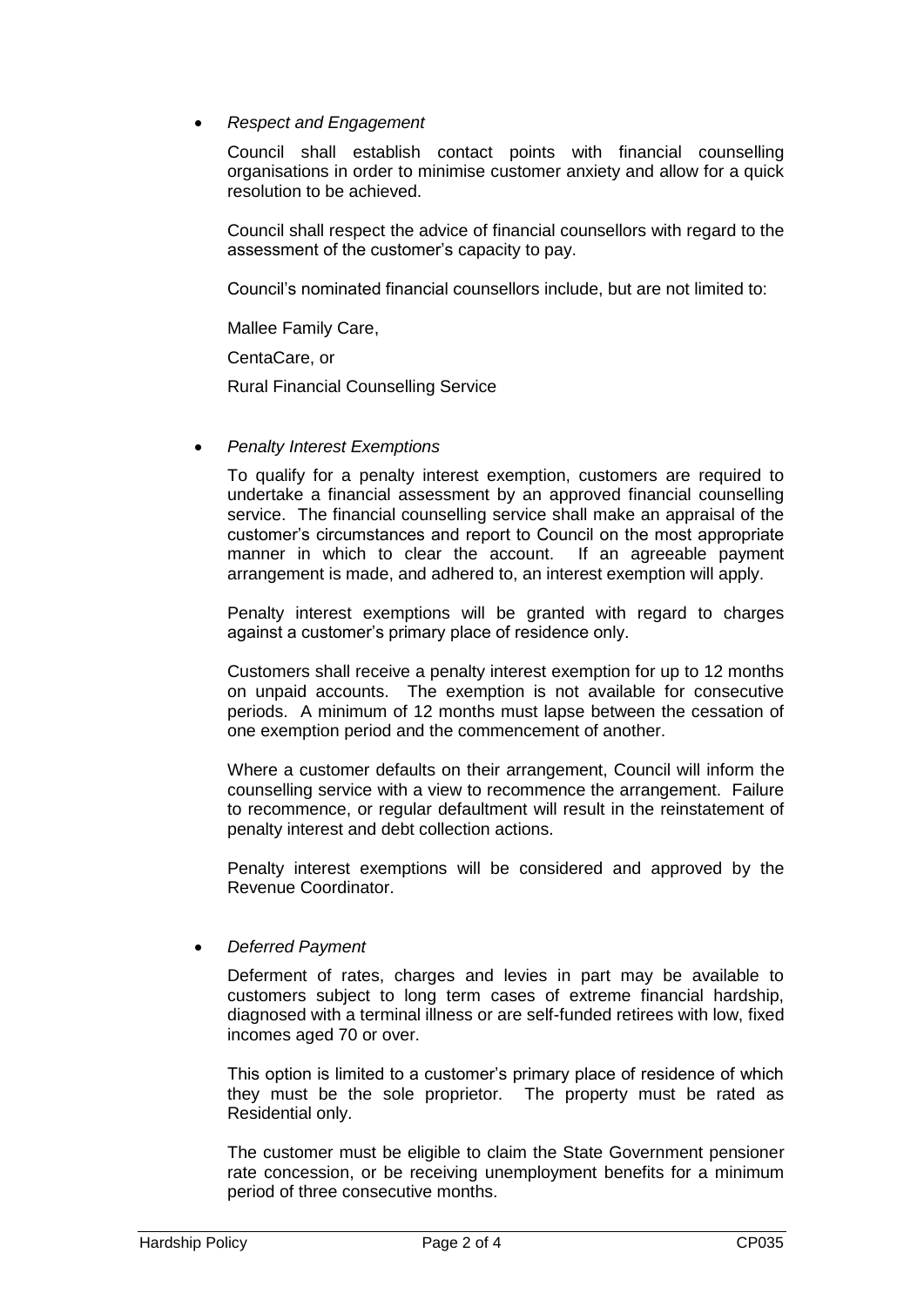### *Respect and Engagement*

Council shall establish contact points with financial counselling organisations in order to minimise customer anxiety and allow for a quick resolution to be achieved.

Council shall respect the advice of financial counsellors with regard to the assessment of the customer's capacity to pay.

Council's nominated financial counsellors include, but are not limited to:

Mallee Family Care,

CentaCare, or

Rural Financial Counselling Service

*Penalty Interest Exemptions*

To qualify for a penalty interest exemption, customers are required to undertake a financial assessment by an approved financial counselling service. The financial counselling service shall make an appraisal of the customer's circumstances and report to Council on the most appropriate manner in which to clear the account. If an agreeable payment arrangement is made, and adhered to, an interest exemption will apply.

Penalty interest exemptions will be granted with regard to charges against a customer's primary place of residence only.

Customers shall receive a penalty interest exemption for up to 12 months on unpaid accounts. The exemption is not available for consecutive periods. A minimum of 12 months must lapse between the cessation of one exemption period and the commencement of another.

Where a customer defaults on their arrangement, Council will inform the counselling service with a view to recommence the arrangement. Failure to recommence, or regular defaultment will result in the reinstatement of penalty interest and debt collection actions.

Penalty interest exemptions will be considered and approved by the Revenue Coordinator.

*Deferred Payment*

Deferment of rates, charges and levies in part may be available to customers subject to long term cases of extreme financial hardship, diagnosed with a terminal illness or are self-funded retirees with low, fixed incomes aged 70 or over.

This option is limited to a customer's primary place of residence of which they must be the sole proprietor. The property must be rated as Residential only.

The customer must be eligible to claim the State Government pensioner rate concession, or be receiving unemployment benefits for a minimum period of three consecutive months.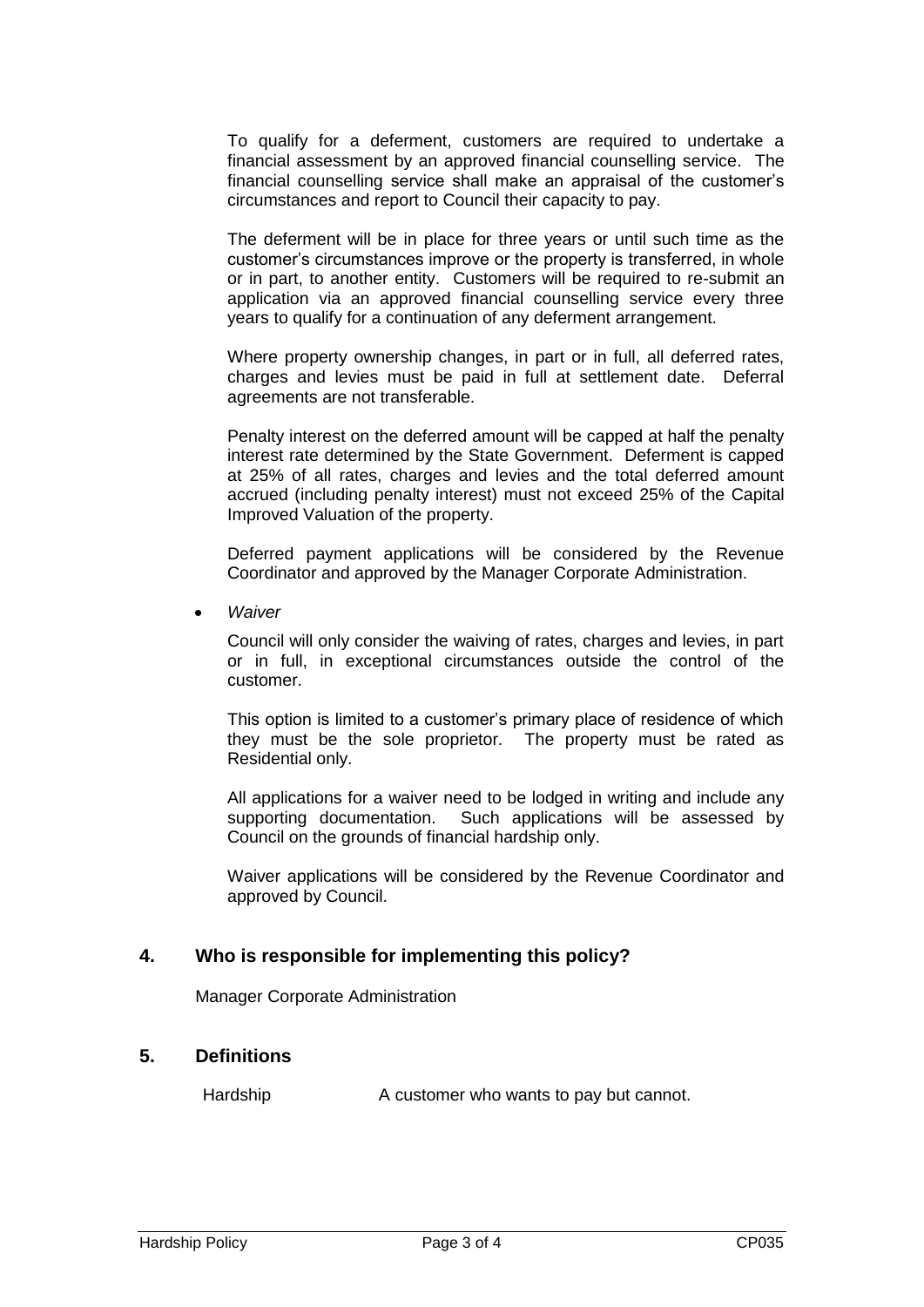To qualify for a deferment, customers are required to undertake a financial assessment by an approved financial counselling service. The financial counselling service shall make an appraisal of the customer's circumstances and report to Council their capacity to pay.

The deferment will be in place for three years or until such time as the customer's circumstances improve or the property is transferred, in whole or in part, to another entity. Customers will be required to re-submit an application via an approved financial counselling service every three years to qualify for a continuation of any deferment arrangement.

Where property ownership changes, in part or in full, all deferred rates, charges and levies must be paid in full at settlement date. Deferral agreements are not transferable.

Penalty interest on the deferred amount will be capped at half the penalty interest rate determined by the State Government. Deferment is capped at 25% of all rates, charges and levies and the total deferred amount accrued (including penalty interest) must not exceed 25% of the Capital Improved Valuation of the property.

Deferred payment applications will be considered by the Revenue Coordinator and approved by the Manager Corporate Administration.

*Waiver*

Council will only consider the waiving of rates, charges and levies, in part or in full, in exceptional circumstances outside the control of the customer.

This option is limited to a customer's primary place of residence of which they must be the sole proprietor. The property must be rated as Residential only.

All applications for a waiver need to be lodged in writing and include any supporting documentation. Such applications will be assessed by Council on the grounds of financial hardship only.

Waiver applications will be considered by the Revenue Coordinator and approved by Council.

## **4. Who is responsible for implementing this policy?**

Manager Corporate Administration

## **5. Definitions**

Hardship A customer who wants to pay but cannot.